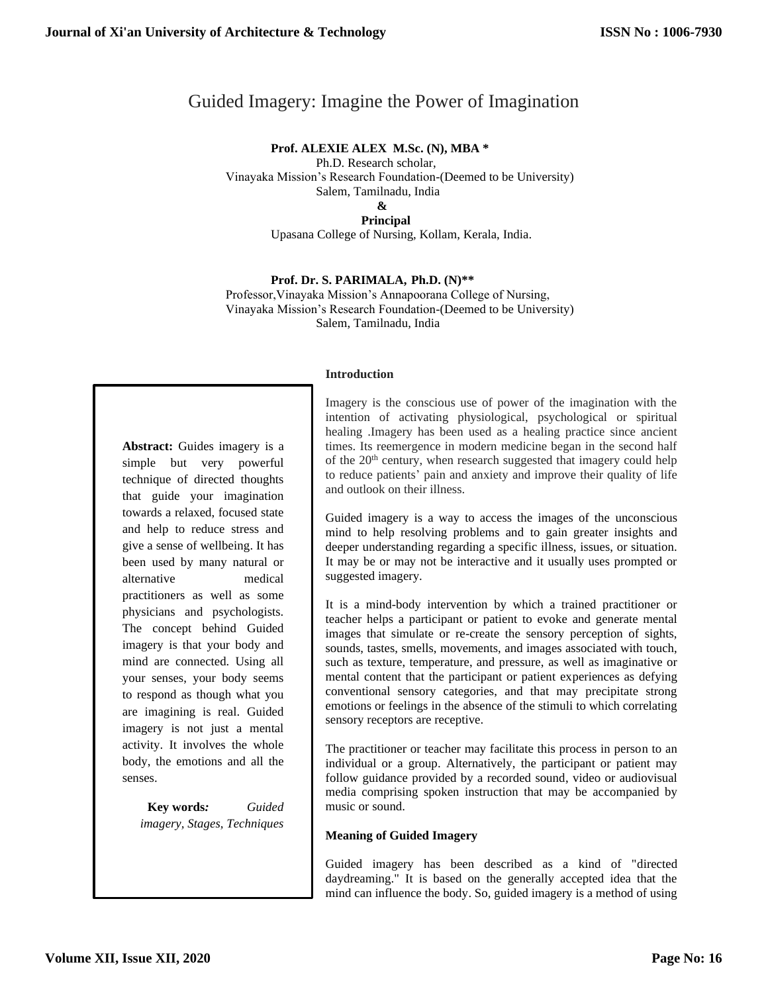# Guided Imagery: Imagine the Power of Imagination

**Prof. ALEXIE ALEX M.Sc. (N), MBA \***

Ph.D. Research scholar, Vinayaka Mission's Research Foundation-(Deemed to be University) Salem, Tamilnadu, India  **&**

**Principal**

Upasana College of Nursing, Kollam, Kerala, India.

# **Prof. Dr. S. PARIMALA, Ph.D. (N)\*\***

Professor,Vinayaka Mission's Annapoorana College of Nursing, Vinayaka Mission's Research Foundation-(Deemed to be University) Salem, Tamilnadu, India

**Abstract:** Guides imagery is a simple but very powerful technique of directed thoughts that guide your imagination towards a relaxed, focused state and help to reduce stress and give a sense of wellbeing. It has been used by many natural or alternative medical practitioners as well as some physicians and psychologists. The concept behind Guided imagery is that your body and mind are connected. Using all your senses, your body seems to respond as though what you are imagining is real. Guided imagery is not just a mental activity. It involves the whole body, the emotions and all the senses.

> **Key words***: Guided imagery, Stages, Techniques*

#### **Introduction**

Imagery is the conscious use of power of the imagination with the intention of activating physiological, psychological or spiritual healing .Imagery has been used as a healing practice since ancient times. Its reemergence in modern medicine began in the second half of the 20<sup>th</sup> century, when research suggested that imagery could help to reduce patients' pain and anxiety and improve their quality of life and outlook on their illness.

Guided imagery is a way to access the images of the unconscious mind to help resolving problems and to gain greater insights and deeper understanding regarding a specific illness, issues, or situation. It may be or may not be interactive and it usually uses prompted or suggested imagery.

It is a mind-body intervention by which a trained practitioner or teacher helps a participant or patient to evoke and generate mental images that simulate or re-create the sensory perception of sights, sounds, tastes, smells, movements, and images associated with touch, such as texture, temperature, and pressure, as well as imaginative or mental content that the participant or patient experiences as defying conventional sensory categories, and that may precipitate strong emotions or feelings in the absence of the stimuli to which correlating sensory receptors are receptive.

The practitioner or teacher may facilitate this process in person to an individual or a group. Alternatively, the participant or patient may follow guidance provided by a recorded sound, video or audiovisual media comprising spoken instruction that may be accompanied by music or sound.

#### **Meaning of Guided Imagery**

Guided imagery has been described as a kind of "directed daydreaming." It is based on the generally accepted idea that the mind can influence the body. So, guided imagery is a method of using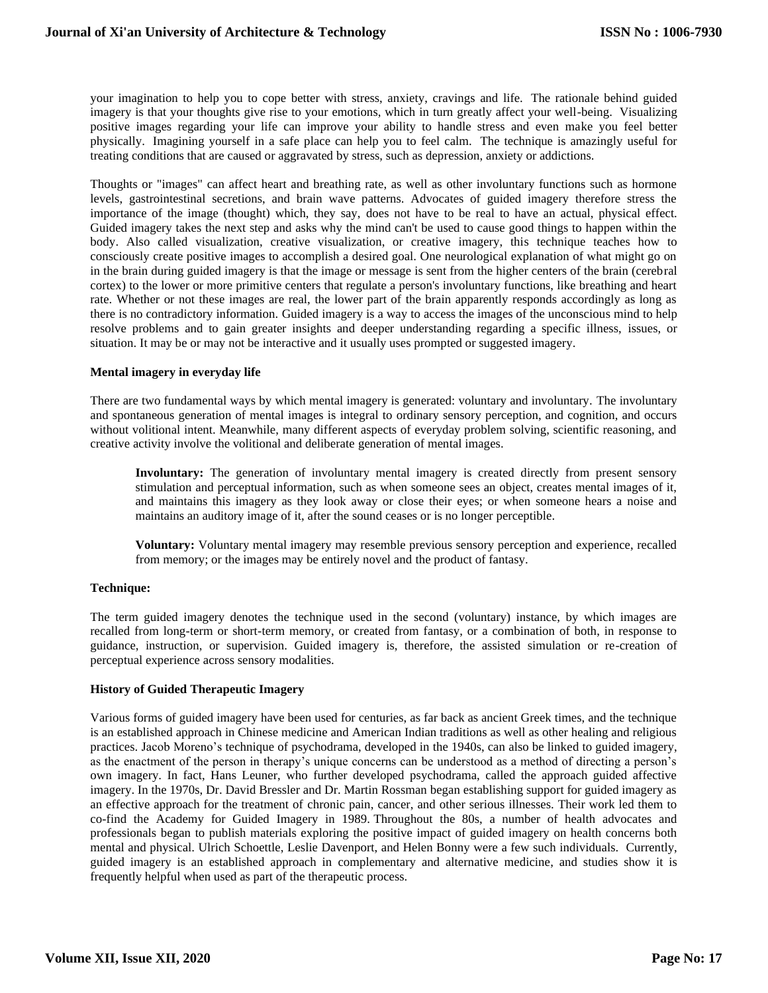your imagination to help you to cope better with stress, anxiety, cravings and life. The rationale behind guided imagery is that your thoughts give rise to your emotions, which in turn greatly affect your well-being. Visualizing positive images regarding your life can improve your ability to handle stress and even make you feel better physically. Imagining yourself in a safe place can help you to feel calm. The technique is amazingly useful for treating conditions that are caused or aggravated by stress, such as depression, anxiety or addictions.

Thoughts or "images" can affect heart and breathing rate, as well as other involuntary functions such as hormone levels, gastrointestinal secretions, and brain wave patterns. Advocates of guided imagery therefore stress the importance of the image (thought) which, they say, does not have to be real to have an actual, physical effect. Guided imagery takes the next step and asks why the mind can't be used to cause good things to happen within the body. Also called visualization, creative visualization, or creative imagery, this technique teaches how to consciously create positive images to accomplish a desired goal. One neurological explanation of what might go on in the brain during guided imagery is that the image or message is sent from the higher centers of the brain (cerebral cortex) to the lower or more primitive centers that regulate a person's involuntary functions, like breathing and heart rate. Whether or not these images are real, the lower part of the brain apparently responds accordingly as long as there is no contradictory information. Guided imagery is a way to access the images of the unconscious mind to help resolve problems and to gain greater insights and deeper understanding regarding a specific illness, issues, or situation. It may be or may not be interactive and it usually uses prompted or suggested imagery.

## **Mental imagery in everyday life**

There are two fundamental ways by which mental imagery is generated: voluntary and involuntary. The involuntary and spontaneous generation of mental images is integral to ordinary sensory perception, and cognition, and occurs without volitional intent. Meanwhile, many different aspects of everyday problem solving, scientific reasoning, and creative activity involve the volitional and deliberate generation of mental images.

**Involuntary:** The generation of involuntary mental imagery is created directly from present sensory stimulation and perceptual information, such as when someone sees an object, creates mental images of it, and maintains this imagery as they look away or close their eyes; or when someone hears a noise and maintains an auditory image of it, after the sound ceases or is no longer perceptible.

**Voluntary:** Voluntary mental imagery may resemble previous sensory perception and experience, recalled from memory; or the images may be entirely novel and the product of fantasy.

#### **Technique:**

The term guided imagery denotes the technique used in the second (voluntary) instance, by which images are recalled from long-term or short-term memory, or created from fantasy, or a combination of both, in response to guidance, instruction, or supervision. Guided imagery is, therefore, the assisted simulation or re-creation of perceptual experience across sensory modalities.

## **History of Guided Therapeutic Imagery**

Various forms of guided imagery have been used for centuries, as far back as ancient Greek times, and the technique is an established approach in Chinese medicine and American Indian traditions as well as other healing and religious practices[. Jacob Moreno's](https://www.goodtherapy.org/famous-psychologists/jacob-moreno.html) technique of [psychodrama,](https://www.goodtherapy.org/learn-about-therapy/types/psychodrama) developed in the 1940s, can also be linked to guided imagery, as the enactment of the person in therapy's unique concerns can be understood as a method of directing a person's own imagery. In fact, Hans Leuner, who further developed psychodrama, called the approach guided affective imagery. In the 1970s, Dr. David Bressler and Dr. Martin Rossman began establishing support for guided imagery as an effective approach for the treatment of [chronic pain,](https://www.goodtherapy.org/learn-about-therapy/issues/chronic-pain) [cancer,](https://www.goodtherapy.org/learn-about-therapy/issues/cancer) and other serious illnesses. Their work led them to co-find the Academy for Guided Imagery in 1989. Throughout the 80s, a number of health advocates and professionals began to publish materials exploring the positive impact of guided imagery on health concerns both mental and physical. Ulrich Schoettle, Leslie Davenport, and Helen Bonny were a few such individuals. Currently, guided imagery is an established approach in [complementary and alternative medicine,](https://www.goodtherapy.org/learn-about-therapy/types/complementary-alternative-medicine) and studies show it is frequently helpful when used as part of the therapeutic process.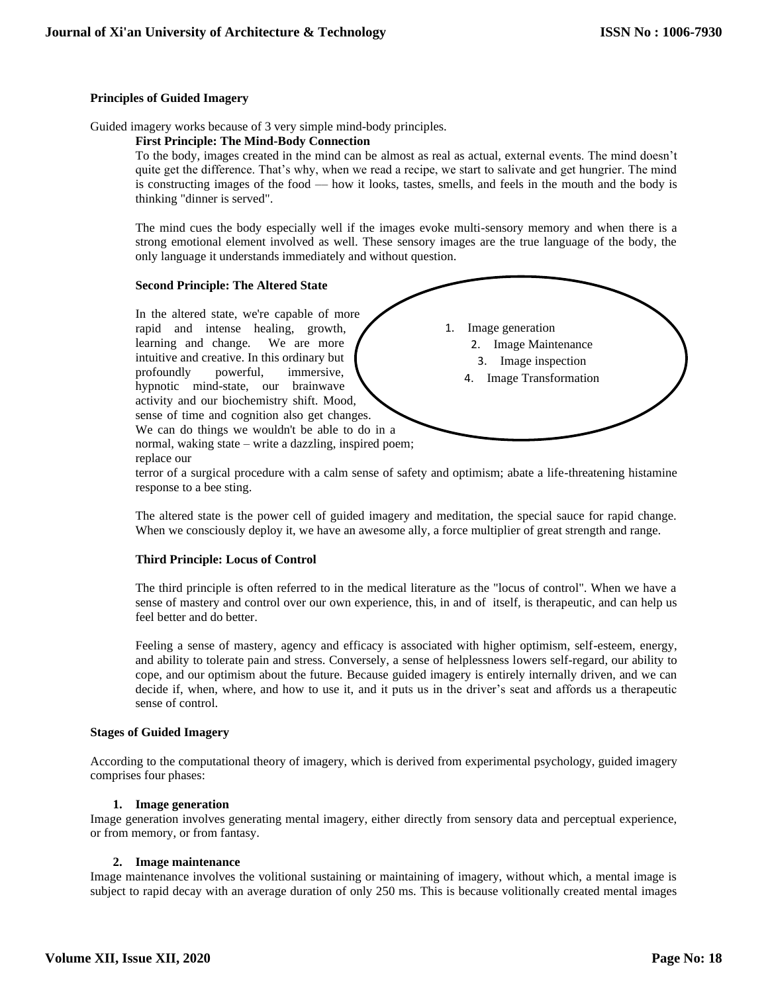# **Principles of Guided Imagery**

Guided imagery works because of 3 very simple mind-body principles.

### **First Principle: The Mind-Body Connection**

To the body, images created in the mind can be almost as real as actual, external events. The mind doesn't quite get the difference. That's why, when we read a recipe, we start to salivate and get hungrier. The mind is constructing images of the food –– how it looks, tastes, smells, and feels in the mouth and the body is thinking "dinner is served".

The mind cues the body especially well if the images evoke multi-sensory memory and when there is a strong emotional element involved as well. These sensory images are the true language of the body, the only language it understands immediately and without question.

#### **Second Principle: The Altered State**

In the altered state, we're capable of more rapid and intense healing, growth, learning and change. We are more intuitive and creative. In this ordinary but profoundly powerful, immersive, hypnotic mind-state, our brainwave activity and our biochemistry shift. Mood, sense of time and cognition also get changes. We can do things we wouldn't be able to do in a normal, waking state – write a dazzling, inspired poem; replace our



terror of a surgical procedure with a calm sense of safety and optimism; abate a life-threatening histamine response to a bee sting.

The altered state is the power cell of guided imagery and meditation, the special sauce for rapid change. When we consciously deploy it, we have an awesome ally, a force multiplier of great strength and range.

# **Third Principle: Locus of Control**

The third principle is often referred to in the medical literature as the "locus of control". When we have a sense of mastery and control over our own experience, this, in and of itself, is therapeutic, and can help us feel better and do better.

Feeling a sense of mastery, agency and efficacy is associated with higher optimism, self-esteem, energy, and ability to tolerate pain and stress. Conversely, a sense of helplessness lowers self-regard, our ability to cope, and our optimism about the future. Because guided imagery is entirely internally driven, and we can decide if, when, where, and how to use it, and it puts us in the driver's seat and affords us a therapeutic sense of control.

#### **Stages of Guided Imagery**

According to the computational theory of imagery, which is derived from experimental psychology, guided imagery comprises four phases:

#### **1. Image generation**

Image generation involves generating mental imagery, either directly from sensory data and perceptual experience, or from memory, or from fantasy.

#### **2. Image maintenance**

Image maintenance involves the volitional sustaining or maintaining of imagery, without which, a mental image is subject to rapid decay with an average duration of only 250 ms. This is because volitionally created mental images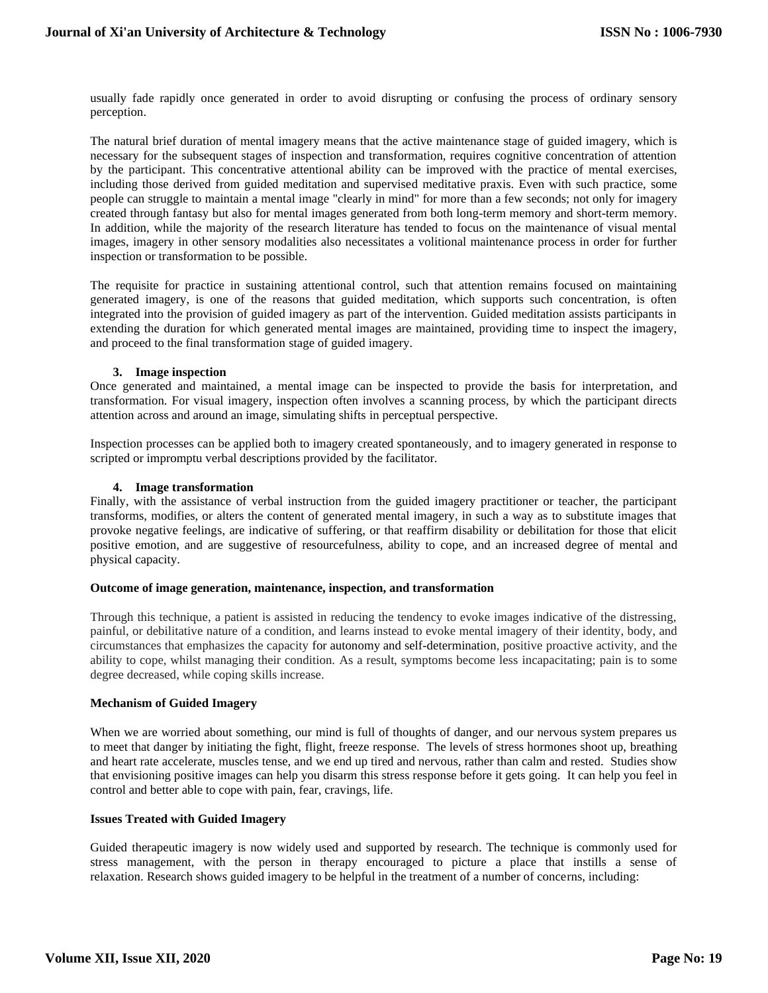usually fade rapidly once generated in order to avoid disrupting or confusing the process of ordinary sensory perception.

The natural brief duration of mental imagery means that the active maintenance stage of guided imagery, which is necessary for the subsequent stages of inspection and transformation, requires cognitive concentration of attention by the participant. This concentrative attentional ability can be improved with the practice of mental exercises, including those derived from guided meditation and supervised meditative praxis. Even with such practice, some people can struggle to maintain a mental image "clearly in mind" for more than a few seconds; not only for imagery created through fantasy but also for mental images generated from both long-term memory and short-term memory. In addition, while the majority of the research literature has tended to focus on the maintenance of visual mental images, imagery in other sensory modalities also necessitates a volitional maintenance process in order for further inspection or transformation to be possible.

The requisite for practice in sustaining attentional control, such that attention remains focused on maintaining generated imagery, is one of the reasons that guided meditation, which supports such concentration, is often integrated into the provision of guided imagery as part of the intervention. Guided meditation assists participants in extending the duration for which generated mental images are maintained, providing time to inspect the imagery, and proceed to the final transformation stage of guided imagery.

#### **3. Image inspection**

Once generated and maintained, a mental image can be inspected to provide the basis for interpretation, and transformation. For visual imagery, inspection often involves a scanning process, by which the participant directs attention across and around an image, simulating shifts in perceptual perspective.

Inspection processes can be applied both to imagery created spontaneously, and to imagery generated in response to scripted or impromptu verbal descriptions provided by the facilitator.

## **4. Image transformation**

Finally, with the assistance of verbal instruction from the guided imagery practitioner or teacher, the participant transforms, modifies, or alters the content of generated mental imagery, in such a way as to substitute images that provoke negative feelings, are indicative of suffering, or that reaffirm disability or debilitation for those that elicit positive emotion, and are suggestive of resourcefulness, ability to cope, and an increased degree of mental and physical capacity.

#### **Outcome of image generation, maintenance, inspection, and transformation**

Through this technique, a patient is assisted in reducing the tendency to evoke images indicative of the distressing, painful, or debilitative nature of a condition, and learns instead to evoke mental imagery of their identity, body, and circumstances that emphasizes the capacity for [autonomy](https://en.wikipedia.org/wiki/Autonomy) and [self-determination,](https://en.wikipedia.org/wiki/Self-determination_theory) positive proactive activity, and the ability to cope, whilst managing their condition. As a result, symptoms become less incapacitating; pain is to some degree decreased, while coping skills increase.

#### **Mechanism of Guided Imagery**

When we are worried about something, our mind is full of thoughts of danger, and our nervous system prepares us to meet that danger by initiating the fight, flight, freeze response. The levels of stress hormones shoot up, breathing and heart rate accelerate, muscles tense, and we end up tired and nervous, rather than calm and rested. Studies show that envisioning positive images can help you disarm this stress response before it gets going. It can help you feel in control and better able to cope with pain, fear, cravings, life.

### **Issues Treated with Guided Imagery**

Guided therapeutic imagery is now widely used and supported by research. The technique is commonly used for stress management, with the person in therapy encouraged to picture a place that instills a sense of relaxation. Research shows guided imagery to be helpful in the treatment of a number of concerns, including: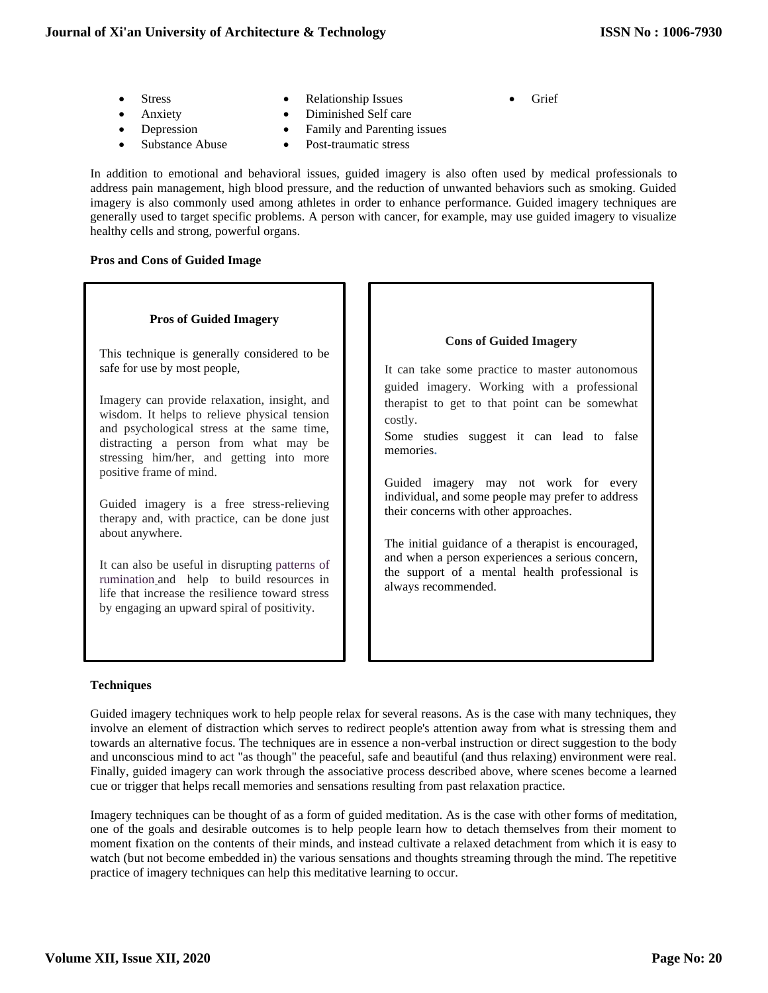- - Stress Relationship Issues Grief
- - Anxiety Diminished Self care •
	-
- Substance Abuse Post-traumatic stress
- **Depression** Family and Parenting issues
	-

In addition to emotional and behavioral issues, guided imagery is also often used by medical professionals to address pain management, high blood pressure, and the reduction of unwanted behaviors such as smoking. Guided imagery is also commonly used among athletes in order to enhance performance. Guided imagery techniques are generally used to target specific problems. A person with cancer, for example, may use guided imagery to visualize healthy cells and strong, powerful organs.

# **Pros and Cons of Guided Image**

| <b>Pros of Guided Imagery</b>                                                                                                                                                                                                                                                                                                                                                                                                                                                                                                                                                                                                                                |                                                                                                                                                                                                                                                                                                                                                                                                                                                                                                                                                                                 |
|--------------------------------------------------------------------------------------------------------------------------------------------------------------------------------------------------------------------------------------------------------------------------------------------------------------------------------------------------------------------------------------------------------------------------------------------------------------------------------------------------------------------------------------------------------------------------------------------------------------------------------------------------------------|---------------------------------------------------------------------------------------------------------------------------------------------------------------------------------------------------------------------------------------------------------------------------------------------------------------------------------------------------------------------------------------------------------------------------------------------------------------------------------------------------------------------------------------------------------------------------------|
| This technique is generally considered to be<br>safe for use by most people,<br>Imagery can provide relaxation, insight, and<br>wisdom. It helps to relieve physical tension<br>and psychological stress at the same time,<br>distracting a person from what may be<br>stressing him/her, and getting into more<br>positive frame of mind.<br>Guided imagery is a free stress-relieving<br>therapy and, with practice, can be done just<br>about anywhere.<br>It can also be useful in disrupting patterns of<br>rumination and help to build resources in<br>life that increase the resilience toward stress<br>by engaging an upward spiral of positivity. | <b>Cons of Guided Imagery</b><br>It can take some practice to master autonomous<br>guided imagery. Working with a professional<br>therapist to get to that point can be somewhat<br>costly.<br>Some studies suggest it can lead to false<br>memories.<br>Guided imagery may not work for every<br>individual, and some people may prefer to address<br>their concerns with other approaches.<br>The initial guidance of a therapist is encouraged,<br>and when a person experiences a serious concern,<br>the support of a mental health professional is<br>always recommended. |

# **Techniques**

Guided imagery techniques work to help people relax for several reasons. As is the case with many techniques, they involve an element of distraction which serves to redirect people's attention away from what is stressing them and towards an alternative focus. The techniques are in essence a non-verbal instruction or direct suggestion to the body and unconscious mind to act "as though" the peaceful, safe and beautiful (and thus relaxing) environment were real. Finally, guided imagery can work through the associative process described above, where scenes become a learned cue or trigger that helps recall memories and sensations resulting from past relaxation practice.

Imagery techniques can be thought of as a form of guided meditation. As is the case with other forms of meditation, one of the goals and desirable outcomes is to help people learn how to detach themselves from their moment to moment fixation on the contents of their minds, and instead cultivate a relaxed detachment from which it is easy to watch (but not become embedded in) the various sensations and thoughts streaming through the mind. The repetitive practice of imagery techniques can help this meditative learning to occur.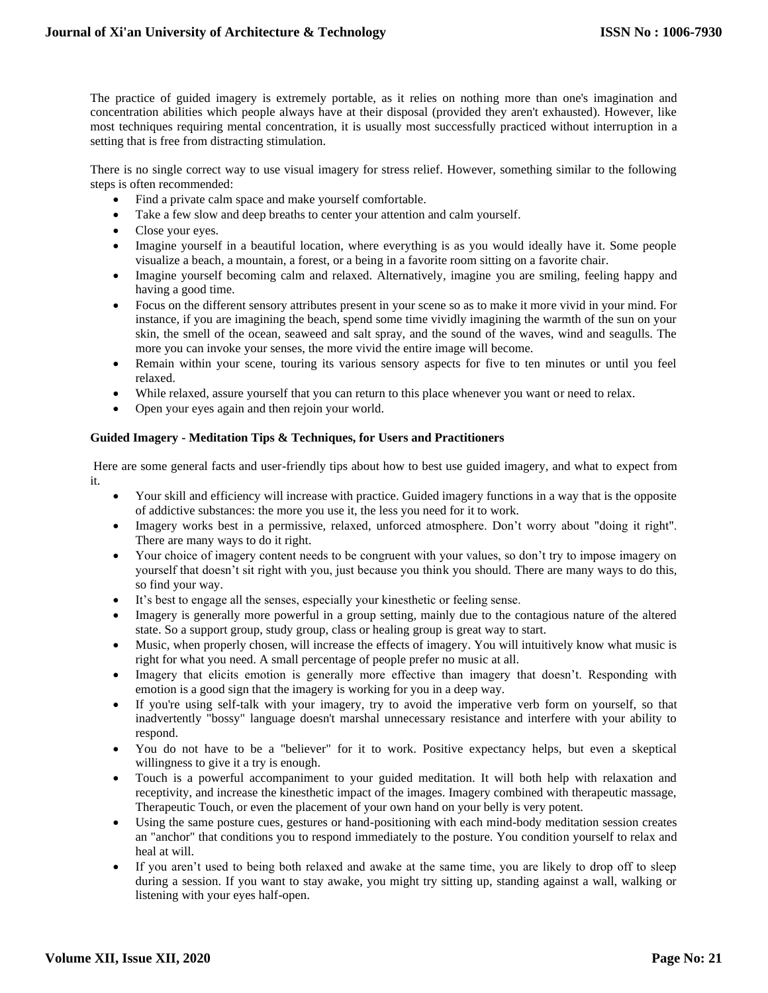The practice of guided imagery is extremely portable, as it relies on nothing more than one's imagination and concentration abilities which people always have at their disposal (provided they aren't exhausted). However, like most techniques requiring mental concentration, it is usually most successfully practiced without interruption in a setting that is free from distracting stimulation.

There is no single correct way to use visual imagery for stress relief. However, something similar to the following steps is often recommended:

- Find a private calm space and make yourself comfortable.
- Take a few slow and deep breaths to center your attention and calm yourself.
- Close your eyes.
- Imagine yourself in a beautiful location, where everything is as you would ideally have it. Some people visualize a beach, a mountain, a forest, or a being in a favorite room sitting on a favorite chair.
- Imagine yourself becoming calm and relaxed. Alternatively, imagine you are smiling, feeling happy and having a good time.
- Focus on the different sensory attributes present in your scene so as to make it more vivid in your mind. For instance, if you are imagining the beach, spend some time vividly imagining the warmth of the sun on your skin, the smell of the ocean, seaweed and salt spray, and the sound of the waves, wind and seagulls. The more you can invoke your senses, the more vivid the entire image will become.
- Remain within your scene, touring its various sensory aspects for five to ten minutes or until you feel relaxed.
- While relaxed, assure yourself that you can return to this place whenever you want or need to relax.
- Open your eyes again and then rejoin your world.

# **Guided Imagery - Meditation Tips & Techniques, for Users and Practitioners**

Here are some general facts and user-friendly tips about how to best use guided imagery, and what to expect from it.

- Your skill and efficiency will increase with practice. Guided imagery functions in a way that is the opposite of addictive substances: the more you use it, the less you need for it to work.
- Imagery works best in a permissive, relaxed, unforced atmosphere. Don't worry about "doing it right". There are many ways to do it right.
- Your choice of imagery content needs to be congruent with your values, so don't try to impose imagery on yourself that doesn't sit right with you, just because you think you should. There are many ways to do this, so find your way.
- It's best to engage all the senses, especially your kinesthetic or feeling sense.
- Imagery is generally more powerful in a group setting, mainly due to the contagious nature of the altered state. So a support group, study group, class or healing group is great way to start.
- Music, when properly chosen, will increase the effects of imagery. You will intuitively know what music is right for what you need. A small percentage of people prefer no music at all.
- Imagery that elicits emotion is generally more effective than imagery that doesn't. Responding with emotion is a good sign that the imagery is working for you in a deep way.
- If you're using self-talk with your imagery, try to avoid the imperative verb form on yourself, so that inadvertently "bossy" language doesn't marshal unnecessary resistance and interfere with your ability to respond.
- You do not have to be a "believer" for it to work. Positive expectancy helps, but even a skeptical willingness to give it a try is enough.
- Touch is a powerful accompaniment to your guided meditation. It will both help with relaxation and receptivity, and increase the kinesthetic impact of the images. Imagery combined with therapeutic massage, Therapeutic Touch, or even the placement of your own hand on your belly is very potent.
- Using the same posture cues, gestures or hand-positioning with each mind-body meditation session creates an "anchor" that conditions you to respond immediately to the posture. You condition yourself to relax and heal at will.
- If you aren't used to being both relaxed and awake at the same time, you are likely to drop off to sleep during a session. If you want to stay awake, you might try sitting up, standing against a wall, walking or listening with your eyes half-open.